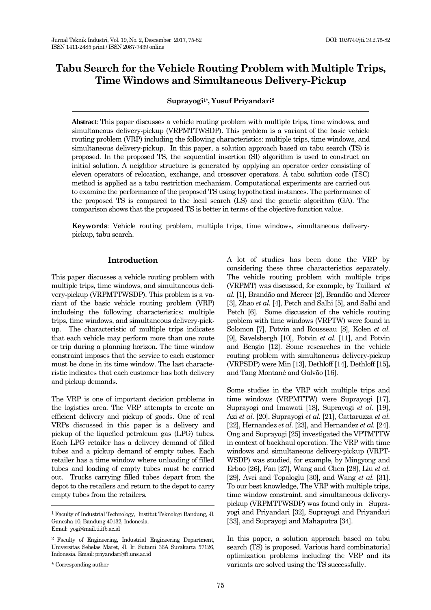# **Tabu Search for the Vehicle Routing Problem with Multiple Trips, Time Windows and Simultaneous Delivery-Pickup**

## **Suprayogi1\*, Yusuf Priyandari<sup>2</sup>**

**Abstract**: This paper discusses a vehicle routing problem with multiple trips, time windows, and simultaneous delivery-pickup (VRPMTTWSDP). This problem is a variant of the basic vehicle routing problem (VRP) including the following characteristics: multiple trips, time windows, and simultaneous delivery-pickup. In this paper, a solution approach based on tabu search (TS) is proposed. In the proposed TS, the sequential insertion (SI) algorithm is used to construct an initial solution. A neighbor structure is generated by applying an operator order consisting of eleven operators of relocation, exchange, and crossover operators. A tabu solution code (TSC) method is applied as a tabu restriction mechanism. Computational experiments are carried out to examine the performance of the proposed TS using hypothetical instances. The performance of the proposed TS is compared to the local search (LS) and the genetic algorithm (GA). The comparison shows that the proposed TS is better in terms of the objective function value.

**Keywords**: Vehicle routing problem, multiple trips, time windows, simultaneous deliverypickup, tabu search.

# **Introduction**

This paper discusses a vehicle routing problem with multiple trips, time windows, and simultaneous delivery-pickup (VRPMTTWSDP). This problem is a variant of the basic vehicle routing problem (VRP) includeing the following characteristics: multiple trips, time windows, and simultaneous delivery-pickup*.* The characteristic of multiple trips indicates that each vehicle may perform more than one route or trip during a planning horizon. The time window constraint imposes that the service to each customer must be done in its time window. The last characteristic indicates that each customer has both delivery and pickup demands.

The VRP is one of important decision problems in the logistics area. The VRP attempts to create an efficient delivery and pickup of goods. One of real VRPs discussed in this paper is a delivery and pickup of the liquefied petroleum gas (LPG) tubes. Each LPG retailer has a delivery demand of filled tubes and a pickup demand of empty tubes. Each retailer has a time window where unloading of filled tubes and loading of empty tubes must be carried out. Trucks carrying filled tubes depart from the depot to the retailers and return to the depot to carry empty tubes from the retailers.

A lot of studies has been done the VRP by considering these three characteristics separately. The vehicle routing problem with multiple trips (VRPMT) was discussed, for example, by Taillard *et al.* [1], Brandão and Mercer [2], Brandão and Mercer [3], Zhao *et al.* [4], Petch and Salhi [5], and Salhi and Petch [6]. Some discussion of the vehicle routing problem with time windows (VRPTW) were found in Solomon [7], Potvin and Rousseau [8], Kolen *et al.* [9], Savelsbergh [10], Potvin *et al.* [11], and Potvin and Bengio [12]. Some researches in the vehicle routing problem with simultaneous delivery-pickup (VRPSDP) were Min [13], Dethloff [14], Dethloff [15]**,** and Tang Montané and Galvão [16].

Some studies in the VRP with multiple trips and time windows (VRPMTTW) were Suprayogi [17], Suprayogi and Imawati [18], Suprayogi *et al.* [19], Azi *et al.* [20], Suprayogi *et al.* [21], Cattaruzza *et al.* [22], Hernandez *et al.* [23], and Hernandez *et al.* [24]. Ong and Suprayogi [25] investigated the VPTMTTW in context of backhaul operation. The VRP with time windows and simultaneous delivery-pickup (VRPT-WSDP) was studied, for example, by Mingyong and Erbao [26], Fan [27], Wang and Chen [28], Liu *et al.* [29], Avci and Topaloglu [30], and Wang *et al.* [31]. To our best knowledge, The VRP with multiple trips, time window constraint, and simultaneous deliverypickup (VRPMTTWSDP) was found only in Suprayogi and Priyandari [32], Suprayogi and Priyandari [33], and Suprayogi and Mahaputra [34].

In this paper, a solution approach based on tabu search (TS) is proposed. Various hard combinatorial optimization problems including the VRP and its variants are solved using the TS successfully.

<sup>1</sup>Faculty of Industrial Technology, Institut Teknologi Bandung, Jl. Ganesha 10, Bandung 40132, Indonesia. Email: yogi@mail.ti.itb.ac.id

<sup>2</sup> Faculty of Engineering, Industrial Engineering Department, Universitas Sebelas Maret, Jl. Ir. Sutami 36A Surakarta 57126, Indonesia. Email: priyandari@ft.uns.ac.id

<sup>\*</sup> Corresponding author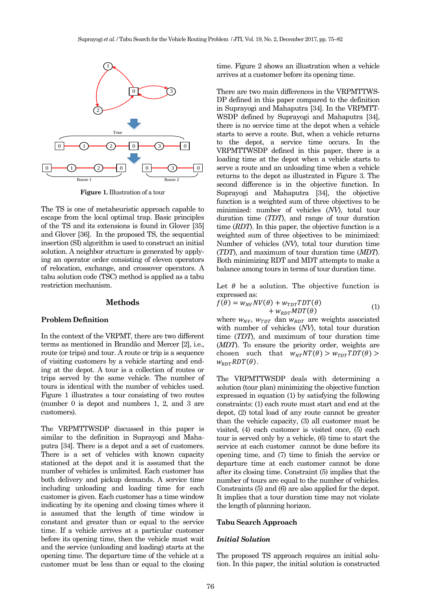

**Figure 1.** Illustration of a tour

The TS is one of metaheuristic approach capable to escape from the local optimal trap. Basic principles of the TS and its extensions is found in Glover [35] and Glover [36]. In the proposed TS, the sequential insertion (SI) algorithm is used to construct an initial solution. A neighbor structure is generated by applying an operator order consisting of eleven operators of relocation, exchange, and crossover operators. A tabu solution code (TSC) method is applied as a tabu restriction mechanism.

#### **Methods**

#### **Problem Definition**

In the context of the VRPMT, there are two different terms as mentioned in Brandão and Mercer [2], i.e., route (or trips) and tour. A route or trip is a sequence of visiting customers by a vehicle starting and ending at the depot. A tour is a collection of routes or trips served by the same vehicle. The number of tours is identical with the number of vehicles used. Figure 1 illustrates a tour consisting of two routes (number 0 is depot and numbers 1, 2, and 3 are customers).

The VRPMTTWSDP discussed in this paper is similar to the definition in Suprayogi and Mahaputra [34]. There is a depot and a set of customers. There is a set of vehicles with known capacity stationed at the depot and it is assumed that the number of vehicles is unlimited. Each customer has both delivery and pickup demands. A service time including unloading and loading time for each customer is given. Each customer has a time window indicating by its opening and closing times where it is assumed that the length of time window is constant and greater than or equal to the service time. If a vehicle arrives at a particular customer before its opening time, then the vehicle must wait and the service (unloading and loading) starts at the opening time. The departure time of the vehicle at a customer must be less than or equal to the closing

time. Figure 2 shows an illustration when a vehicle arrives at a customer before its opening time.

There are two main differences in the VRPMTTWS-DP defined in this paper compared to the definition in Suprayogi and Mahaputra [34]. In the VRPMTT-WSDP defined by Suprayogi and Mahaputra [34], there is no service time at the depot when a vehicle starts to serve a route. But, when a vehicle returns to the depot, a service time occurs. In the VRPMTTWSDP defined in this paper, there is a loading time at the depot when a vehicle starts to serve a route and an unloading time when a vehicle returns to the depot as illustrated in Figure 3. The second difference is in the objective function. In Suprayogi and Mahaputra [34], the objective function is a weighted sum of three objectives to be minimized: number of vehicles (*NV*), total tour duration time (*TDT*), and range of tour duration time (*RDT*). In this paper, the objective function is a weighted sum of three objectives to be minimized: Number of vehicles (*NV*), total tour duration time (*TDT*), and maximum of tour duration time (*MDT*). Both minimizing RDT and MDT attempts to make a balance among tours in terms of tour duration time.

Let  $\theta$  be a solution. The objective function is expressed as:

$$
f(\theta) = w_{NV}NV(\theta) + w_{TDT}TDT(\theta) + w_{RDT}MDT(\theta)
$$
 (1)

where  $w_{NV}$ ,  $w_{TDT}$  dan  $w_{RDT}$  are weights associated with number of vehicles (*NV*), total tour duration time (*TDT*), and maximum of tour duration time (*MDT*). To ensure the priority order, weights are chosen such that  $w_{NT}NT(\theta) > w_{TDT}TDT(\theta) >$  $W_{RDT}RDT(\theta)$ .

The VRPMTTWSDP deals with determining a solution (tour plan) minimizing the objective function expressed in equation (1) by satisfying the following constraints: (1) each route must start and end at the depot, (2) total load of any route cannot be greater than the vehicle capacity, (3) all customer must be visited, (4) each customer is visited once, (5) each tour is served only by a vehicle, (6) time to start the service at each customer cannot be done before its opening time, and (7) time to finish the service or departure time at each customer cannot be done after its closing time. Constraint (5) implies that the number of tours are equal to the number of vehicles. Constraints (5) and (6) are also applied for the depot. It implies that a tour duration time may not violate the length of planning horizon.

## **Tabu Search Approach**

## *Initial Solution*

The proposed TS approach requires an initial solution. In this paper, the initial solution is constructed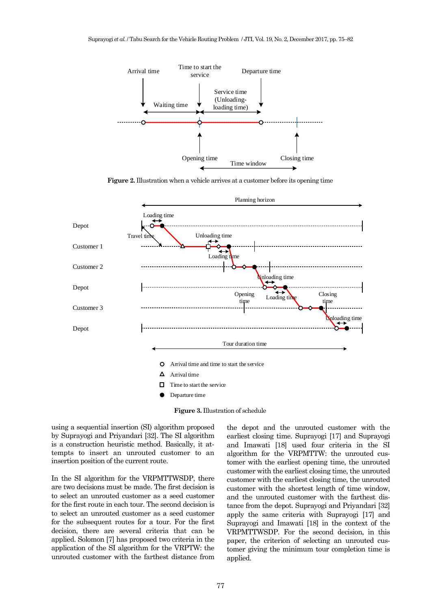

**Figure 2.** Illustration when a vehicle arrives at a customer before its opening time



**Figure 3.** Illustration of schedule

using a sequential insertion (SI) algorithm proposed by Suprayogi and Priyandari [32]. The SI algorithm is a construction heuristic method. Basically, it attempts to insert an unrouted customer to an insertion position of the current route.

In the SI algorithm for the VRPMTTWSDP, there are two decisions must be made. The first decision is to select an unrouted customer as a seed customer for the first route in each tour. The second decision is to select an unrouted customer as a seed customer for the subsequent routes for a tour. For the first decision, there are several criteria that can be applied. Solomon [7] has proposed two criteria in the application of the SI algorithm for the VRPTW: the unrouted customer with the farthest distance from

the depot and the unrouted customer with the earliest closing time. Suprayogi [17] and Suprayogi and Imawati [18] used four criteria in the SI algorithm for the VRPMTTW: the unrouted customer with the earliest opening time, the unrouted customer with the earliest closing time, the unrouted customer with the earliest closing time, the unrouted customer with the shortest length of time window, and the unrouted customer with the farthest distance from the depot. Suprayogi and Priyandari [32] apply the same criteria with Suprayogi [17] and Suprayogi and Imawati [18] in the context of the VRPMTTWSDP. For the second decision, in this paper, the criterion of selecting an unrouted customer giving the minimum tour completion time is applied.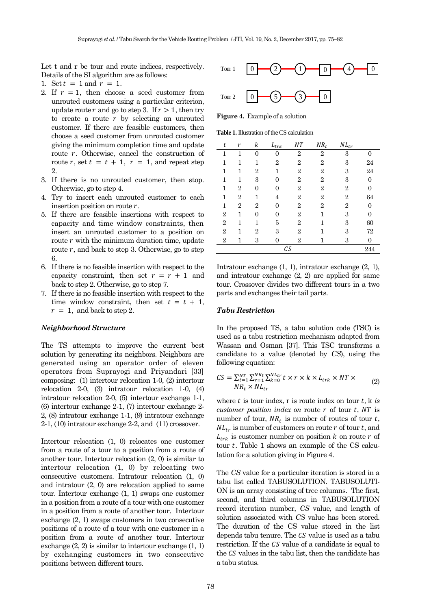Let t and r be tour and route indices, respectively. Details of the SI algorithm are as follows:

- 1. Set  $t = 1$  and  $r = 1$ .
- 2. If  $r = 1$ , then choose a seed customer from unrouted customers using a particular criterion, update route r and go to step 3. If  $r > 1$ , then try to create a route  $r$  by selecting an unrouted customer. If there are feasible customers, then choose a seed customer from unrouted customer giving the minimum completion time and update route  $r$ . Otherwise, cancel the construction of route r, set  $t = t + 1$ ,  $r = 1$ , and repeat step 2.
- 3. If there is no unrouted customer, then stop. Otherwise, go to step 4.
- 4. Try to insert each unrouted customer to each insertion position on route  $r$ .
- 5. If there are feasible insertions with respect to capacity and time window constraints, then insert an unrouted customer to a position on route  $r$  with the minimum duration time, update route  $r$ , and back to step 3. Otherwise, go to step 6.
- 6. If there is no feasible insertion with respect to the capacity constraint, then set  $r = r + 1$  and back to step 2. Otherwise, go to step 7.
- 7. If there is no feasible insertion with respect to the time window constraint, then set  $t = t + 1$ ,  $r = 1$ , and back to step 2.

#### *Neighborhood Structure*

The TS attempts to improve the current best solution by generating its neighbors. Neighbors are generated using an operator order of eleven operators from Suprayogi and Priyandari [33] composing: (1) intertour relocation 1-0, (2) intertour relocation 2-0, (3) intratour relocation 1-0, (4) intratour relocation 2-0, (5) intertour exchange 1-1, (6) intertour exchange 2-1, (7) intertour exchange 2- 2, (8) intratour exchange 1-1, (9) intratour exchange 2-1, (10) intratour exchange 2-2, and (11) crossover.

Intertour relocation (1, 0) relocates one customer from a route of a tour to a position from a route of another tour. Intertour relocation (2, 0) is similar to intertour relocation (1, 0) by relocating two consecutive customers. Intratour relocation (1, 0) and intratour (2, 0) are relocation applied to same tour. Intertour exchange (1, 1) swaps one customer in a position from a route of a tour with one customer in a position from a route of another tour. Intertour exchange (2, 1) swaps customers in two consecutive positions of a route of a tour with one customer in a position from a route of another tour. Intertour exchange (2, 2) is similar to intertour exchange (1, 1) by exchanging customers in two consecutive Determines between different to the set of extent to the set of extent to the set of extent to the set of extending the set of extending the set of extending the set of extending the set of extending the set of extending



**Figure 4.** Example of a solution

**Table 1.** Illustration of the CS calculation

| t              | r              | k              | $L_{tr \underline{k}}$ | NT             | $NR_t$         | $NL_{tr}$      |                |
|----------------|----------------|----------------|------------------------|----------------|----------------|----------------|----------------|
| $\mathbf{1}$   | 1              | 0              | 0                      | $\overline{2}$ | $\overline{2}$ | 3              | 0              |
| 1              | 1              | 1              | $\overline{2}$         | $\overline{2}$ | $\overline{2}$ | 3              | 24             |
| 1              | 1              | $\overline{2}$ | 1                      | $\overline{2}$ | $\overline{2}$ | 3              | 24             |
| 1              | 1              | 3              | $\Omega$               | $\overline{2}$ | $\overline{2}$ | 3              | $\theta$       |
| 1              | $\overline{2}$ | 0              | 0                      | $\overline{2}$ | $\overline{2}$ | $\overline{2}$ | $\overline{0}$ |
| 1              | $\overline{2}$ | 1              | 4                      | $\overline{2}$ | $\overline{2}$ | $\overline{2}$ | 64             |
| 1              | $\overline{2}$ | $\overline{2}$ | 0                      | $\overline{2}$ | $\overline{2}$ | $\overline{2}$ | 0              |
| $\overline{2}$ | 1              | 0              | 0                      | $\overline{2}$ | 1              | 3              | $\overline{0}$ |
| $\overline{2}$ | 1              | 1              | 5                      | $\overline{2}$ |                | 3              | 60             |
| $\overline{2}$ | 1              | $\overline{2}$ | 3                      | $\overline{2}$ |                | 3              | $72\,$         |
| $\overline{2}$ | 1              | 3              | 0                      | $\overline{2}$ | 1              | 3              | $\overline{0}$ |
|                |                |                | СS                     |                |                |                | 244            |

Intratour exchange (1, 1), intratour exchange (2, 1), and intratour exchange (2, 2) are applied for same tour. Crossover divides two different tours in a two parts and exchanges their tail parts.

#### *Tabu Restriction*

In the proposed TS, a tabu solution code (TSC) is used as a tabu restriction mechanism adapted from Wassan and Osman [37]. This TSC transforms a candidate to a value (denoted by *CS*), using the following equation:

$$
CS = \sum_{t=1}^{NT} \sum_{r=1}^{NR_t} \sum_{k=0}^{N L_{tr}} t \times r \times k \times L_{trk} \times NT \times N R_t \times NL_{tr} \times NL_{tr}
$$
\n(2)

where  $t$  is tour index,  $r$  is route index on tour  $t$ ,  $k$  *is customer position index on* route  $r$  of tour  $t$ ,  $NT$  is number of tour,  $NR_t$  is number of routes of tour t,  $NL_{tr}$  is number of customers on route r of tour t, and  $L_{trk}$  is customer number on position k on route r of tour  $t$ . Table 1 shows an example of the CS calculation for a solution giving in Figure 4.

The *CS* value for a particular iteration is stored in a tabu list called TABUSOLUTION. TABUSOLUTI-ON is an array consisting of tree columns. The first, second, and third columns in TABUSOLUTION record iteration number, *CS* value, and length of solution associated with *CS* value has been stored. The duration of the CS value stored in the list depends tabu tenure. The CS value is used as a tabu restriction. If the CS value of a candidate is equal to the  $CS$  values in the tabu list, then the candidate has a tabu status.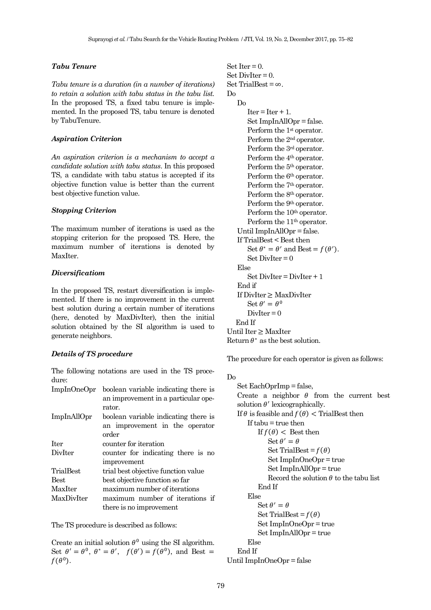## *Tabu Tenure*

*Tabu tenure is a duration (in a number of iterations) to retain a solution with tabu status in the tabu list.* In the proposed TS, a fixed tabu tenure is implemented. In the proposed TS, tabu tenure is denoted by TabuTenure.

# *Aspiration Criterion*

*An aspiration criterion is a mechanism to accept a candidate solution with tabu status*. In this proposed TS, a candidate with tabu status is accepted if its objective function value is better than the current best objective function value.

#### *Stopping Criterion*

The maximum number of iterations is used as the stopping criterion for the proposed TS. Here, the maximum number of iterations is denoted by MaxIter.

## *Diversificatiom*

In the proposed TS, restart diversification is implemented. If there is no improvement in the current best solution during a certain number of iterations (here, denoted by MaxDivIter), then the initial solution obtained by the SI algorithm is used to generate neighbors.

# *Details of TS procedure*

The following notations are used in the TS procedure:

| ImpInOneOpr | boolean variable indicating there is |
|-------------|--------------------------------------|
|             | an improvement in a particular ope-  |
|             | rator.                               |
| ImpInAllOpr | boolean variable indicating there is |
|             | an improvement in the operator       |
|             | order                                |
| <b>Iter</b> | counter for iteration                |
| DivIter     | counter for indicating there is no   |
|             | improvement                          |
| TrialBest   | trial best objective function value  |
| <b>Best</b> | best objective function so far       |
| MaxIter     | maximum number of iterations         |
| MaxDivIter  | maximum number of iterations if      |
|             | there is no improvement              |

The TS procedure is described as follows:

Create an initial solution  $\theta^0$  using the SI algorithm. Set  $\theta' = \theta^0$ ,  $\theta^* = \theta'$ ,  $f(\theta') = f(\theta^0)$ , and Best =  $f(\theta^0)$ .

Set Iter  $= 0$ .  $Set DivIter = 0.$ Set TrialBest =  $\infty$ . Do Do  $Iter = Iter + 1.$ Set ImpInAllOpr = false. Perform the 1<sup>st</sup> operator. Perform the 2nd operator. Perform the 3rd operator. Perform the 4<sup>th</sup> operator. Perform the  $5<sup>th</sup>$  operator. Perform the 6<sup>th</sup> operator. Perform the 7<sup>th</sup> operator. Perform the 8<sup>th</sup> operator. Perform the 9th operator. Perform the 10<sup>th</sup> operator. Perform the 11<sup>th</sup> operator. Until ImpInAllOpr = false. If TrialBest < Best then Set  $\theta^* = \theta'$  and Best =  $f(\theta')$ .  $Set DivIter = 0$ Else  $Set DivIter = DivIter + 1$ End if If DivIter ≥ MaxDivIter Set  $\theta' = \theta^0$  $DivIter = 0$  End If Until Iter ≥ MaxIter Return  $\theta^*$  as the best solution.

The procedure for each operator is given as follows:

#### Do

Set EachOprImp = false, Create a neighbor  $\theta$  from the current best solution  $\theta'$  lexicographically. If  $\theta$  is feasible and  $f(\theta)$  < TrialBest then If tabu = true then If  $f(\theta)$  < Best then  $\operatorname{Set} \theta' = \theta$ Set TrialBest =  $f(\theta)$ Set ImpInOneOpr = true Set ImpInAllOpr = true Record the solution  $\theta$  to the tabu list End If Else  $\operatorname{Set} \theta' = \theta$ Set TrialBest =  $f(\theta)$ Set ImpInOneOpr = true Set ImpInAllOpr = true Else End If

Until ImpInOneOpr = false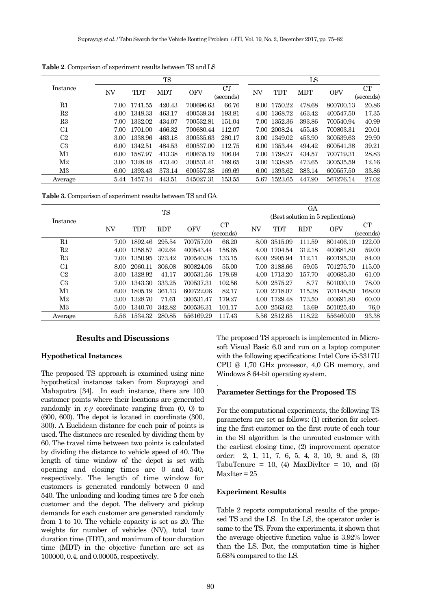|                |      | <b>TS</b> |            |            |           |      |              | LS         |            |             |  |  |
|----------------|------|-----------|------------|------------|-----------|------|--------------|------------|------------|-------------|--|--|
| Instance       | NV   | TDT       | <b>MDT</b> | <b>OFV</b> | CT        | NV   | TDT          | <b>MDT</b> | <b>OFV</b> | $_{\rm CT}$ |  |  |
|                |      |           |            |            | (seconds) |      |              |            |            | (seconds)   |  |  |
| $_{\rm R1}$    | 7.00 | 1741.55   | 420.43     | 700696.63  | 66.76     | 8.00 | 1750.22      | 478.68     | 800700.13  | 20.86       |  |  |
| R2             | 4.00 | 1348.33   | 463.17     | 400539.34  | 193.81    | 4.00 | 1368.72      | 463.42     | 400547.50  | 17.35       |  |  |
| R3             | 7.00 | 1332.02   | 434.07     | 700532.81  | 151.04    | 7.00 | 1352.36      | 393.86     | 700540.94  | 40.99       |  |  |
| C1             | 7.00 | 1701.00   | 466.32     | 700680.44  | 112.07    |      | 7.00 2008.24 | 455.48     | 700803.31  | 20.01       |  |  |
| C <sub>2</sub> | 3.00 | 1338.96   | 463.18     | 300535.63  | 280.17    |      | 3.00 1349.02 | 453.90     | 300539.63  | 29.90       |  |  |
| C <sub>3</sub> | 6.00 | 1342.51   | 484.53     | 600537.00  | 112.75    | 6.00 | 1353.44      | 494.42     | 600541.38  | 39.21       |  |  |
| M1             | 6.00 | 1587.97   | 413.38     | 600635.19  | 106.04    | 7.00 | 1798.27      | 434.57     | 700719.31  | 28.83       |  |  |
| M2             | 3.00 | 1328.48   | 473.40     | 300531.41  | 189.65    | 3.00 | 1338.95      | 473.65     | 300535.59  | 12.16       |  |  |
| M3             | 6.00 | 1393.43   | 373.14     | 600557.38  | 169.69    | 6.00 | 1393.62      | 383.14     | 600557.50  | 33.86       |  |  |
| Average        | 5.44 | 1457.14   | 443.51     | 545027.31  | 153.55    | 5.67 | 1523.65      | 447.90     | 567276.14  | 27.02       |  |  |

**Table 2**. Comparison of experiment results between TS and LS

**Table 3.** Comparison of experiment results between TS and GA

|                | <b>TS</b> |            |            |            |           |      | GА                                |            |            |           |  |
|----------------|-----------|------------|------------|------------|-----------|------|-----------------------------------|------------|------------|-----------|--|
| Instance       |           |            |            |            |           |      | (Best solution in 5 replications) |            |            |           |  |
|                | NV        | <b>TDT</b> | <b>RDT</b> | <b>OFV</b> | <b>CT</b> | NV   | TDT                               | <b>RDT</b> | <b>OFV</b> | CT        |  |
|                |           |            |            |            | (seconds) |      |                                   |            |            | (seconds) |  |
| R1             | 7.00      | 1892.46    | 295.54     | 700757.00  | 66.20     | 8.00 | 3515.09                           | 111.59     | 801406.10  | 122.00    |  |
| R2             | 4.00      | 1358.57    | 402.64     | 400543.44  | 158.65    | 4.00 | 1704.54                           | 312.18     | 400681.80  | 59.00     |  |
| R3             | 7.00      | 1350.95    | 373.42     | 700540.38  | 133.15    | 6.00 | 2905.94                           | 112.11     | 600195.30  | 84.00     |  |
| C1             | 8.00      | 2060.11    | 306.08     | 800824.06  | 55.00     | 7.00 | 3188.66                           | 59.05      | 701275.70  | 115.00    |  |
| C <sub>2</sub> | 3.00      | 1328.92    | 41.17      | 300531.56  | 178.68    | 4.00 | 1713.20                           | 157.70     | 400685.30  | 61.00     |  |
| C <sub>3</sub> | 7.00      | 1343.30    | 333.25     | 700537.31  | 102.56    |      | 5.00 2575.27                      | 8.77       | 501030.10  | 78.00     |  |
| M1             | 6.00      | 1805.19    | 361.13     | 600722.06  | 82.17     | 7.00 | 2718.07                           | 115.38     | 701148.50  | 168.00    |  |
| M2             | 3.00      | 1328.70    | 71.61      | 300531.47  | 179.27    | 4.00 | 1729.48                           | 173.50     | 400691.80  | 60.00     |  |
| M3             | 5.00      | 1340.70    | 342.82     | 500536.31  | 101.17    | 5.00 | 2563.62                           | 13.69      | 501025.40  | 76,0      |  |
| Average        | 5.56      | 1534.32    | 280.85     | 556169.29  | 117.43    | 5.56 | 2512.65                           | 118.22     | 556460.00  | 93.38     |  |

.

## **Results and Discussions**

## **Hypothetical Instances**

The proposed TS approach is examined using nine hypothetical instances taken from Suprayogi and Mahaputra [34]. In each instance, there are 100 customer points where their locations are generated randomly in  $x-y$  coordinate ranging from  $(0, 0)$  to (600, 600). The depot is located in coordinate (300, 300). A Euclidean distance for each pair of points is used. The distances are rescaled by dividing them by 60. The travel time between two points is calculated by dividing the distance to vehicle speed of 40. The length of time window of the depot is set with opening and closing times are 0 and 540, respectively. The length of time window for customers is generated randomly between 0 and 540. The unloading and loading times are 5 for each customer and the depot. The delivery and pickup demands for each customer are generated randomly from 1 to 10. The vehicle capacity is set as 20. The weights for number of vehicles (NV), total tour duration time (TDT), and maximum of tour duration time (MDT) in the objective function are set as 100000, 0.4, and 0.00005, respectively.

The proposed TS approach is implemented in Microsoft Visual Basic 6.0 and run on a laptop computer with the following specifications: Intel Core i5-3317U CPU @ 1,70 GHz processor, 4,0 GB memory, and Windows 8 64-bit operating system.

### **Parameter Settings for the Proposed TS**

For the computational experiments, the following TS parameters are set as follows: (1) criterion for selecting the first customer on the first route of each tour in the SI algorithm is the unrouted customer with the earliest closing time, (2) improvement operator order: 2, 1, 11, 7, 6, 5, 4, 3, 10, 9, and 8, (3) TabuTenure = 10, (4) MaxDivIter = 10, and (5)  $MaxIter = 25$ 

### **Experiment Results**

Table 2 reports computational results of the proposed TS and the LS. In the LS, the operator order is same to the TS. From the experiments, it shown that the average objective function value is 3.92% lower than the LS. But, the computation time is higher 5.68% compared to the LS.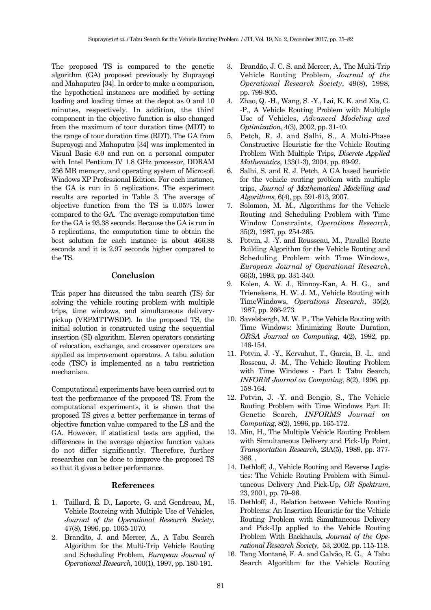The proposed TS is compared to the genetic algorithm (GA) proposed previously by Suprayogi and Mahaputra [34]. In order to make a comparison, the hypothetical instances are modified by setting loading and loading times at the depot as 0 and 10 minutes, respectively. In addition, the third component in the objective function is also changed from the maximum of tour duration time (MDT) to the range of tour duration time (RDT). The GA from Suprayogi and Mahaputra [34] was implemented in Visual Basic 6.0 and run on a personal computer with Intel Pentium IV 1.8 GHz processor, DDRAM 256 MB memory, and operating system of Microsoft Windows XP Professional Edition. For each instance, the GA is run in 5 replications. The experiment results are reported in Table 3. The average of objective function from the TS is 0.05% lower compared to the GA. The average computation time for the GA is 93.38 seconds. Because the GA is run in 5 replications, the computation time to obtain the best solution for each instance is about 466.88 seconds and it is 2.97 seconds higher compared to the TS.

# **Conclusion**

This paper has discussed the tabu search (TS) for solving the vehicle routing problem with multiple trips, time windows, and simultaneous deliverypickup (VRPMTTWSDP). In the proposed TS, the initial solution is constructed using the sequential insertion (SI) algorithm. Eleven operators consisting of relocation, exchange, and crossover operators are applied as improvement operators. A tabu solution code (TSC) is implemented as a tabu restriction mechanism.

Computational experiments have been carried out to test the performance of the proposed TS. From the computational experiments, it is shown that the proposed TS gives a better performance in terms of objective function value compared to the LS and the GA. However, if statistical tests are applied, the differences in the average objective function values do not differ significantly. Therefore, further researches can be done to improve the proposed TS so that it gives a better performance.

## **References**

- 1. Taillard, É. D., Laporte, G. and Gendreau, M., Vehicle Routeing with Multiple Use of Vehicles, *Journal of the Operational Research Society*, 47(8), 1996, pp. 1065-1070.
- 2. Brandão, J. and Mercer, A., A Tabu Search Algorithm for the Multi-Trip Vehicle Routing and Scheduling Problem, *European Journal of Operational Research,* 100(1), 1997, pp. 180-191.
- 3. Brandão, J. C. S. and Mercer, A., The Multi-Trip Vehicle Routing Problem, *Journal of the Operational Research Society*, 49(8), 1998, pp. 799-805.
- 4. Zhao, Q. -H., Wang, S. -Y., Lai, K. K. and Xia, G. -P., A Vehicle Routing Problem with Multiple Use of Vehicles, *Advanced Modeling and Optimization*, 4(3)*,* 2002, pp. 31-40.
- 5. Petch, R. J. and Salhi, S., A Multi-Phase Constructive Heuristic for the Vehicle Routing Problem With Multiple Trips, *Discrete Applied Mathematics*, 133(1-3), 2004, pp. 69-92.
- 6. Salhi, S. and R. J. Petch, A GA based heuristic for the vehicle routing problem with multiple trips, *Journal of Mathematical Modelling and Algorithms,* 6(4), pp. 591-613, 2007.
- 7. Solomon, M. M., Algorithms for the Vehicle Routing and Scheduling Problem with Time Window Constraints, *Operations Research*, 35(2), 1987, pp. 254-265.
- 8. Potvin, J. -Y. and Rousseau, M., Parallel Route Building Algorithm for the Vehicle Routing and Scheduling Problem with Time Windows, *European Journal of Operational Research*, 66(3), 1993, pp. 331-340.
- 9. Kolen, A. W. J., Rinnoy-Kan, A. H. G., and Trienekens, H. W. J. M., Vehicle Routing with TimeWindows, *Operations Research*, 35(2)*,*  1987, pp. 266-273.
- 10. Savelsbergh, M. W. P., The Vehicle Routing with Time Windows: Minimizing Route Duration, *ORSA Journal on Computing*, 4(2), 1992, pp. 146-154.
- 11. Potvin, J. -Y., Kervahut, T., Garcia, B. -L. and Rosseau, J. -M., The Vehicle Routing Problem with Time Windows - Part I: Tabu Search, *INFORM Journal on Computing*, 8(2), 1996. pp. 158-164.
- 12. Potvin, J. -Y. and Bengio, S., The Vehicle Routing Problem with Time Windows Part II: Genetic Search, *INFORMS Journal on Computing*, 8(2), 1996, pp. 165-172.
- 13. Min, H., The Multiple Vehicle Routing Problem with Simultaneous Delivery and Pick-Up Point, *Transportation Research*, 23A(5), 1989, pp. 377- 386. .
- 14. Dethloff, J., Vehicle Routing and Reverse Logistics: The Vehicle Routing Problem with Simultaneous Delivery And Pick-Up, *OR Spektrum*, 23, 2001, pp. 79–96.
- 15. Dethloff, J., Relation between Vehicle Routing Problems: An Insertion Heuristic for the Vehicle Routing Problem with Simultaneous Delivery and Pick-Up applied to the Vehicle Routing Problem With Backhauls, *Journal of the Operational Research Society,* 53, 2002, pp. 115-118.
- 16. Tang Montané, F. A. and Galvão, R. G., A Tabu Search Algorithm for the Vehicle Routing